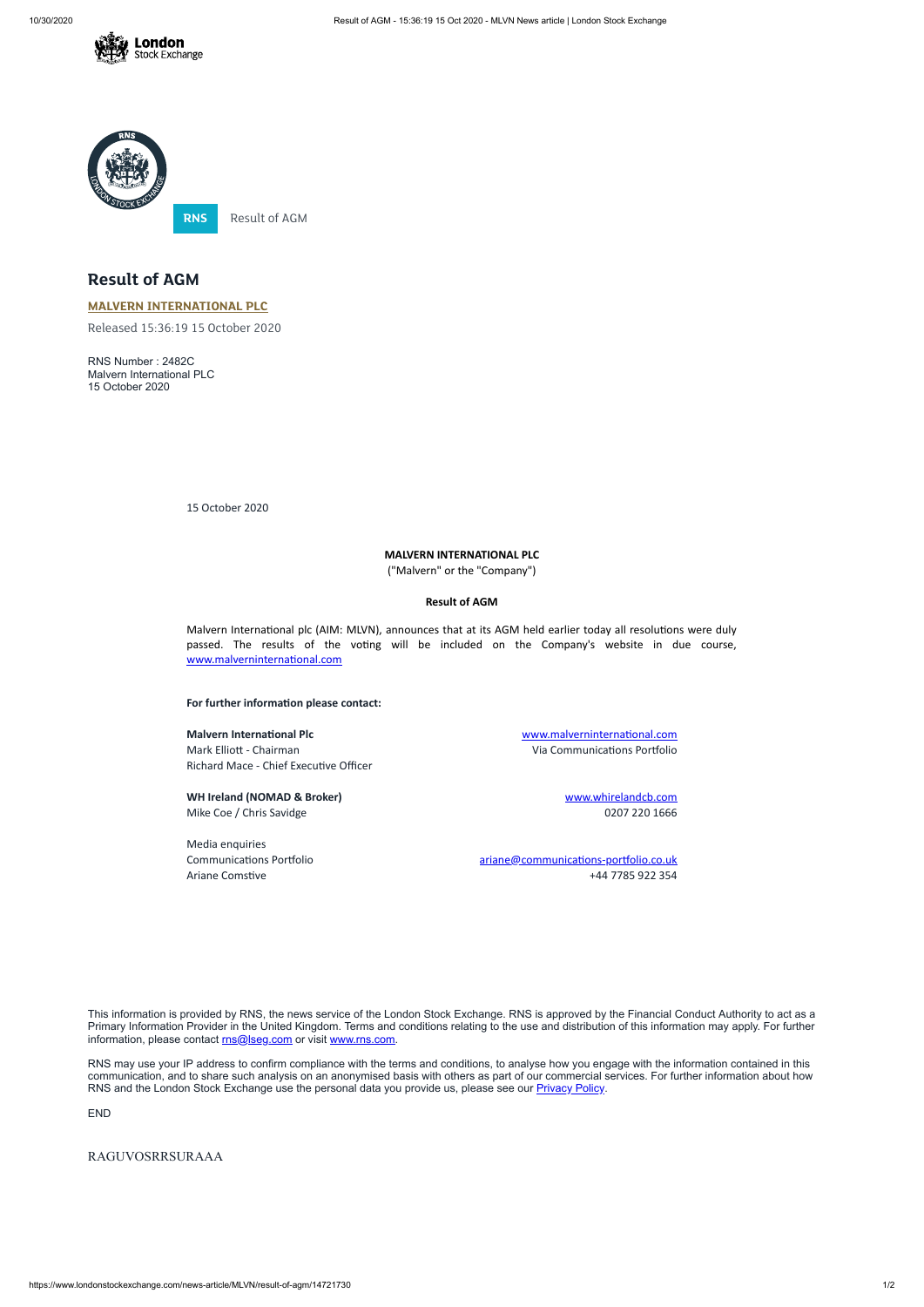



## **Result of AGM**

**MALVERN [INTERNATIONAL](https://www.londonstockexchange.com/stock/MLVN/malvern-international-plc) PLC**

Released 15:36:19 15 October 2020

RNS Number : 2482C Malvern International PLC 15 October 2020

15 October 2020

## **MALVERN INTERNATIONAL PLC**

("Malvern" or the "Company")

## **Result of AGM**

Malvern International plc (AIM: MLVN), announces that at its AGM held earlier today all resolutions were duly passed. The results of the voting will be included on the Company's website in due course, www.malverninternational.com

**For further information please contact:** 

**WH Ireland (NOMAD & Broker)** [www.whirelandcb.com](http://www.whirelandcb.com/) Mike Coe / Chris Savidge 2007 220 1666

**Malvern International Plc** Malverninternational.com Mark Elliott - Chairman and Communications Portfolio Richard Mace - Chief Executive Officer

This information is provided by RNS, the news service of the London Stock Exchange. RNS is approved by the Financial Conduct Authority to act as a Primary Information Provider in the United Kingdom. Terms and conditions relating to the use and distribution of this information may apply. For further information, please contact [rns@lseg.com](mailto:rns@lseg.com) or visit [www.rns.com.](http://www.rns.com/)

RNS may use your IP address to confirm compliance with the terms and conditions, to analyse how you engage with the information contained in this communication, and to share such analysis on an anonymised basis with others as part of our commercial services. For further information about how RNS and the London Stock Exchange use the personal data you provide us, please see our **[Privacy](https://www.lseg.com/privacy-and-cookie-policy) Policy**.

Media enquiries

Communications Portfolio and ariane@communications-portfolio.co.uk Ariane Comstive +44 7785 922 354

END

## RAGUVOSRRSURAAA